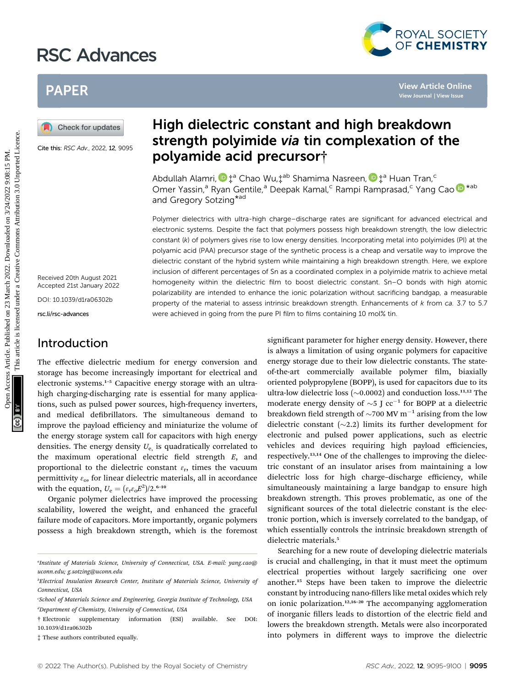# RSC Advances



# PAPER

Cite this: RSC Adv., 2022, 12, 9095

Received 20th August 2021 Accepted 21st January 2022

DOI: 10.1039/d1ra06302b

rsc.li/rsc-advances

### Introduction

The effective dielectric medium for energy conversion and storage has become increasingly important for electrical and electronic systems.<sup>1</sup>–<sup>5</sup> Capacitive energy storage with an ultrahigh charging-discharging rate is essential for many applications, such as pulsed power sources, high-frequency inverters, and medical defibrillators. The simultaneous demand to improve the payload efficiency and miniaturize the volume of the energy storage system call for capacitors with high energy densities. The energy density  $U_{e}$  is quadratically correlated to the maximum operational electric field strength  $E$ , and proportional to the dielectric constant  $\varepsilon_r$ , times the vacuum permittivity  $\varepsilon$ <sub>o</sub>, for linear dielectric materials, all in accordance with the equation,  $U_e = (\varepsilon_r \varepsilon_o E^2)/2$ .<sup>6–10</sup>

Organic polymer dielectrics have improved the processing scalability, lowered the weight, and enhanced the graceful failure mode of capacitors. More importantly, organic polymers possess a high breakdown strength, which is the foremost

# High dielectric constant and high breakdown strength polyimide via tin complexation of the polyamide acid precursor†

Abdullah Alamri[,](http://orcid.org/0000-0002-6857-265X)  $\mathbf{D}^{\text{+a}}$  Chao Wu, $\mathbf{L}^{\text{ab}}$  Shamima Nasreen,  $\mathbf{D}^{\text{+a}}$  Huan Tran,<sup>c</sup> Omer Yassin,<sup>a</sup> Ryan Gentile,<sup>a</sup> Deepak Kamal,<sup>c</sup> Rampi Ramprasad,<sup>c</sup> Yang Cao D<sup>\*ab</sup> and Gregory Sotzing<sup>\*ad</sup>

Polymer dielectrics with ultra-high charge–discharge rates are significant for advanced electrical and electronic systems. Despite the fact that polymers possess high breakdown strength, the low dielectric constant (k) of polymers gives rise to low energy densities. Incorporating metal into polyimides (PI) at the polyamic acid (PAA) precursor stage of the synthetic process is a cheap and versatile way to improve the dielectric constant of the hybrid system while maintaining a high breakdown strength. Here, we explore inclusion of different percentages of Sn as a coordinated complex in a polyimide matrix to achieve metal homogeneity within the dielectric film to boost dielectric constant. Sn–O bonds with high atomic polarizability are intended to enhance the ionic polarization without sacrificing bandgap, a measurable property of the material to assess intrinsic breakdown strength. Enhancements of k from ca. 3.7 to 5.7 were achieved in going from the pure PI film to films containing 10 mol% tin. PAPER<br> **Example 19 Alternations and Strength polyimide via the complexation of the polyimide acid precursor?<br>
Strength polyimide via the complexation of the polyimide acid precursor?<br>
Strength polyimide acid precursor?<br>
A** 

significant parameter for higher energy density. However, there is always a limitation of using organic polymers for capacitive energy storage due to their low dielectric constants. The stateof-the-art commercially available polymer film, biaxially oriented polypropylene (BOPP), is used for capacitors due to its ultra-low dielectric loss  $(\sim 0.0002)$  and conduction loss.<sup>11,12</sup> The moderate energy density of  $\sim$ 5 J cc<sup>-1</sup> for BOPP at a dielectric breakdown field strength of  $\sim$ 700 MV  $\mathrm{m}^{-1}$  arising from the low dielectric constant  $(\sim 2.2)$  limits its further development for electronic and pulsed power applications, such as electric vehicles and devices requiring high payload efficiencies, respectively.13,14 One of the challenges to improving the dielectric constant of an insulator arises from maintaining a low dielectric loss for high charge–discharge efficiency, while simultaneously maintaining a large bandgap to ensure high breakdown strength. This proves problematic, as one of the significant sources of the total dielectric constant is the electronic portion, which is inversely correlated to the bandgap, of which essentially controls the intrinsic breakdown strength of dielectric materials.<sup>5</sup>

Searching for a new route of developing dielectric materials is crucial and challenging, in that it must meet the optimum electrical properties without largely sacrificing one over another.<sup>15</sup> Steps have been taken to improve the dielectric constant by introducing nano-fillers like metal oxides which rely on ionic polarization.<sup>12,16-20</sup> The accompanying agglomeration of inorganic fillers leads to distortion of the electric field and lowers the breakdown strength. Metals were also incorporated into polymers in different ways to improve the dielectric

a Institute of Materials Science, University of Connecticut, USA. E-mail: yang.cao@ uconn.edu; g.sotzing@uconn.edu

b Electrical Insulation Research Center, Institute of Materials Science, University of Connecticut, USA

c School of Materials Science and Engineering, Georgia Institute of Technology, USA d Department of Chemistry, University of Connecticut, USA

<sup>†</sup> Electronic supplementary information (ESI) available. See DOI: 10.1039/d1ra06302b

<sup>‡</sup> These authors contributed equally.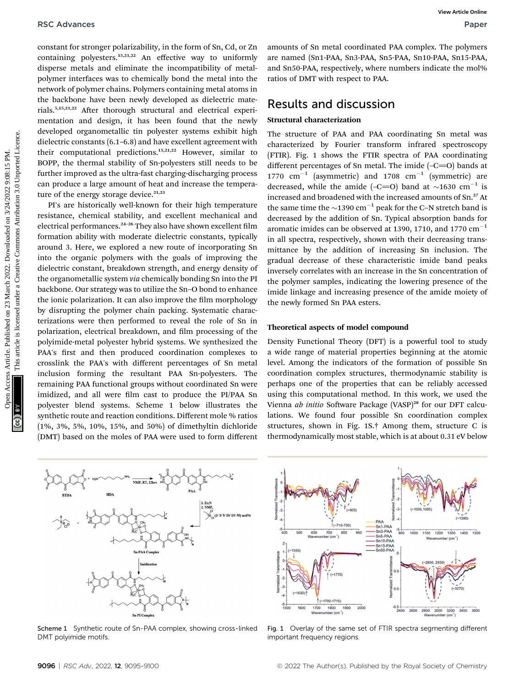constant for stronger polarizability, in the form of Sn, Cd, or Zn containing polyesters.15,21,22 An effective way to uniformly disperse metals and eliminate the incompatibility of metalpolymer interfaces was to chemically bond the metal into the network of polymer chains. Polymers containing metal atoms in the backbone have been newly developed as dielectric materials.<sup>5,15,21,22</sup> After thorough structural and electrical experimentation and design, it has been found that the newly developed organometallic tin polyester systems exhibit high dielectric constants (6.1–6.8) and have excellent agreement with their computational predictions.15,21,22 However, similar to BOPP, the thermal stability of Sn-polyesters still needs to be further improved as the ultra-fast charging-discharging process can produce a large amount of heat and increase the temperature of the energy storage device. $21,23$ 

PI's are historically well-known for their high temperature resistance, chemical stability, and excellent mechanical and electrical performances.<sup>24-26</sup> They also have shown excellent film formation ability with moderate dielectric constants, typically around 3. Here, we explored a new route of incorporating Sn into the organic polymers with the goals of improving the dielectric constant, breakdown strength, and energy density of the organometallic system via chemically bonding Sn into the PI backbone. Our strategy was to utilize the Sn–O bond to enhance the ionic polarization. It can also improve the film morphology by disrupting the polymer chain packing. Systematic characterizations were then performed to reveal the role of Sn in polarization, electrical breakdown, and film processing of the polyimide-metal polyester hybrid systems. We synthesized the PAA's first and then produced coordination complexes to crosslink the PAA's with different percentages of Sn metal inclusion forming the resultant PAA Sn-polyesters. The remaining PAA functional groups without coordinated Sn were imidized, and all were film cast to produce the PI/PAA Sn polyester blend systems. Scheme 1 below illustrates the synthetic route and reaction conditions. Different mole % ratios (1%, 3%, 5%, 10%, 15%, and 50%) of dimethyltin dichloride (DMT) based on the moles of PAA were used to form different RSC Advances<br>
constant for storege polarizability, in the form of Sn, Ca, or Ziver are now in summany (Sn metal, Sn etchic, Sn etchic. Photo, Sn etchic. The polyner content<br>
constant are one of the form of the metal is on

amounts of Sn metal coordinated PAA complex. The polymers are named (Sn1-PAA, Sn3-PAA, Sn5-PAA, Sn10-PAA, Sn15-PAA, and Sn50-PAA, respectively, where numbers indicate the mol% ratios of DMT with respect to PAA.

### Results and discussion

### Structural characterization

The structure of PAA and PAA coordinating Sn metal was characterized by Fourier transform infrared spectroscopy (FTIR). Fig. 1 shows the FTIR spectra of PAA coordinating different percentages of Sn metal. The imide  $(-C=O)$  bands at 1770  $cm^{-1}$  (asymmetric) and 1708  $cm^{-1}$  (symmetric) are decreased, while the amide  $(-C=O)$  band at  $\sim$ 1630 cm<sup>-1</sup> is increased and broadened with the increased amounts of Sn.<sup>27</sup> At the same time the  $\sim$ 1390 cm<sup>-1</sup> peak for the C-N stretch band is decreased by the addition of Sn. Typical absorption bands for aromatic imides can be observed at 1390, 1710, and 1770  $cm^{-1}$ in all spectra, respectively, shown with their decreasing transmittance by the addition of increasing Sn inclusion. The gradual decrease of these characteristic imide band peaks inversely correlates with an increase in the Sn concentration of the polymer samples, indicating the lowering presence of the imide linkage and increasing presence of the amide moiety of the newly formed Sn PAA esters.

#### Theoretical aspects of model compound

Density Functional Theory (DFT) is a powerful tool to study a wide range of material properties beginning at the atomic level. Among the indicators of the formation of possible Sn coordination complex structures, thermodynamic stability is perhaps one of the properties that can be reliably accessed using this computational method. In this work, we used the Vienna ab initio Software Package (VASP)<sup>28</sup> for our DFT calculations. We found four possible Sn coordination complex structures, shown in Fig. 1S.† Among them, structure C is thermodynamically most stable, which is at about 0.31 eV below



Scheme 1 Synthetic route of Sn-PAA complex, showing cross-linked DMT polyimide motifs.



Fig. 1 Overlay of the same set of FTIR spectra segmenting different important frequency regions.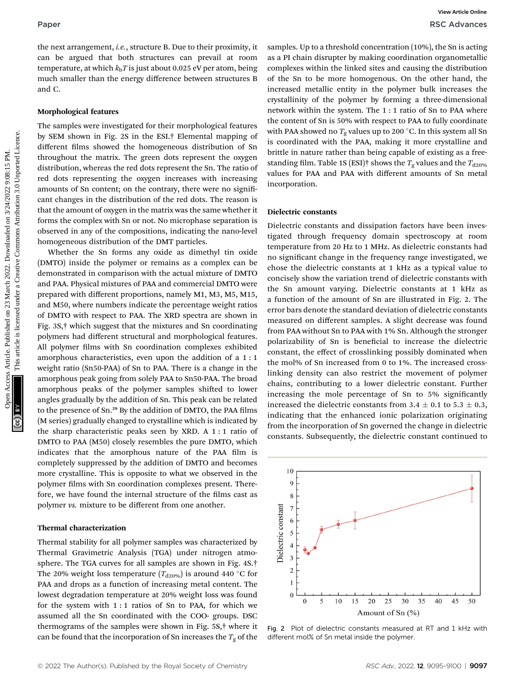and C.

#### Morphological features

The samples were investigated for their morphological features by SEM shown in Fig. 2S in the ESI.† Elemental mapping of different films showed the homogeneous distribution of Sn throughout the matrix. The green dots represent the oxygen distribution, whereas the red dots represent the Sn. The ratio of red dots representing the oxygen increases with increasing amounts of Sn content; on the contrary, there were no significant changes in the distribution of the red dots. The reason is that the amount of oxygen in the matrix was the same whether it forms the complex with Sn or not. No microphase separation is observed in any of the compositions, indicating the nano-level homogeneous distribution of the DMT particles.

Whether the Sn forms any oxide as dimethyl tin oxide (DMTO) inside the polymer or remains as a complex can be demonstrated in comparison with the actual mixture of DMTO and PAA. Physical mixtures of PAA and commercial DMTO were prepared with different proportions, namely M1, M3, M5, M15, and M50, where numbers indicate the percentage weight ratios of DMTO with respect to PAA. The XRD spectra are shown in Fig. 3S,† which suggest that the mixtures and Sn coordinating polymers had different structural and morphological features. All polymer films with Sn coordination complexes exhibited amorphous characteristics, even upon the addition of a 1 : 1 weight ratio (Sn50-PAA) of Sn to PAA. There is a change in the amorphous peak going from solely PAA to Sn50-PAA. The broad amorphous peaks of the polymer samples shifted to lower angles gradually by the addition of Sn. This peak can be related to the presence of Sn.<sup>29</sup> By the addition of DMTO, the PAA films (M series) gradually changed to crystalline which is indicated by the sharp characteristic peaks seen by XRD. A 1 : 1 ratio of DMTO to PAA (M50) closely resembles the pure DMTO, which indicates that the amorphous nature of the PAA film is completely suppressed by the addition of DMTO and becomes more crystalline. This is opposite to what we observed in the polymer films with Sn coordination complexes present. Therefore, we have found the internal structure of the films cast as polymer vs. mixture to be different from one another.

#### Thermal characterization

Thermal stability for all polymer samples was characterized by Thermal Gravimetric Analysis (TGA) under nitrogen atmosphere. The TGA curves for all samples are shown in Fig. 4S.† The 20% weight loss temperature  $(T_{d20\%})$  is around 440 °C for PAA and drops as a function of increasing metal content. The lowest degradation temperature at 20% weight loss was found for the system with 1 : 1 ratios of Sn to PAA, for which we assumed all the Sn coordinated with the COO- groups. DSC thermograms of the samples were shown in Fig. 5S,† where it can be found that the incorporation of Sn increases the  $T_{\rm g}$  of the samples. Up to a threshold concentration (10%), the Sn is acting as a PI chain disrupter by making coordination organometallic complexes within the linked sites and causing the distribution of the Sn to be more homogenous. On the other hand, the increased metallic entity in the polymer bulk increases the crystallinity of the polymer by forming a three-dimensional network within the system. The 1 : 1 ratio of Sn to PAA where the content of Sn is 50% with respect to PAA to fully coordinate with PAA showed no  $T_{\rm g}$  values up to 200 °C. In this system all Sn is coordinated with the PAA, making it more crystalline and brittle in nature rather than being capable of existing as a freestanding film. Table 1S (ESI)<sup>†</sup> shows the  $T_g$  values and the  $T_{d20\%}$ values for PAA and PAA with different amounts of Sn metal incorporation.

#### Dielectric constants

Dielectric constants and dissipation factors have been investigated through frequency domain spectroscopy at room temperature from 20 Hz to 1 MHz. As dielectric constants had no significant change in the frequency range investigated, we chose the dielectric constants at 1 kHz as a typical value to concisely show the variation trend of dielectric constants with the Sn amount varying. Dielectric constants at 1 kHz as a function of the amount of Sn are illustrated in Fig. 2. The error bars denote the standard deviation of dielectric constants measured on different samples. A slight decrease was found from PAA without Sn to PAA with 1% Sn. Although the stronger polarizability of Sn is beneficial to increase the dielectric constant, the effect of crosslinking possibly dominated when the mol% of Sn increased from 0 to 1%. The increased crosslinking density can also restrict the movement of polymer chains, contributing to a lower dielectric constant. Further increasing the mole percentage of Sn to 5% significantly increased the dielectric constants from 3.4  $\pm$  0.1 to 5.3  $\pm$  0.3, indicating that the enhanced ionic polarization originating from the incorporation of Sn governed the change in dielectric constants. Subsequently, the dielectric constant continued to Paper<br>
Une act arrangement, i.e., structure B. Des to their proximity, i.e. samples. Up to ather download concernent in the matter data for the matter data for the matter data for the matter data for the matter data for t



Fig. 2 Plot of dielectric constants measured at RT and 1 kHz with different mol% of Sn metal inside the polymer.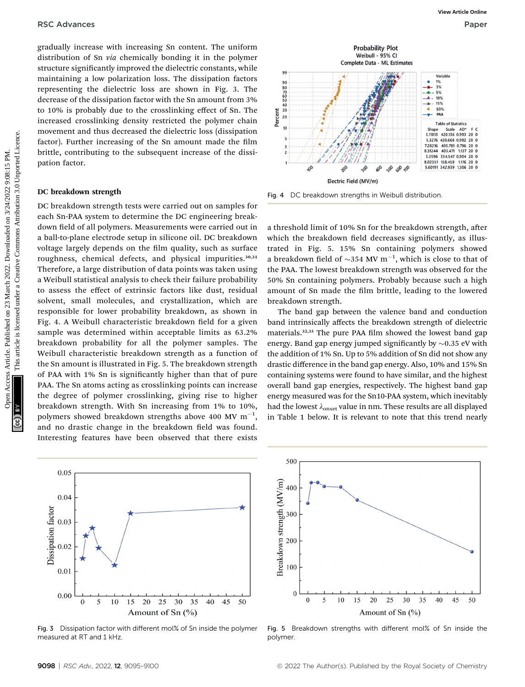gradually increase with increasing Sn content. The uniform distribution of Sn via chemically bonding it in the polymer structure significantly improved the dielectric constants, while maintaining a low polarization loss. The dissipation factors representing the dielectric loss are shown in Fig. 3. The decrease of the dissipation factor with the Sn amount from 3% to 10% is probably due to the crosslinking effect of Sn. The increased crosslinking density restricted the polymer chain movement and thus decreased the dielectric loss (dissipation factor). Further increasing of the Sn amount made the film brittle, contributing to the subsequent increase of the dissipation factor.

#### DC breakdown strength

DC breakdown strength tests were carried out on samples for each Sn-PAA system to determine the DC engineering breakdown field of all polymers. Measurements were carried out in a ball-to-plane electrode setup in silicone oil. DC breakdown voltage largely depends on the film quality, such as surface roughness, chemical defects, and physical impurities.<sup>30,31</sup> Therefore, a large distribution of data points was taken using a Weibull statistical analysis to check their failure probability to assess the effect of extrinsic factors like dust, residual solvent, small molecules, and crystallization, which are responsible for lower probability breakdown, as shown in Fig. 4. A Weibull characteristic breakdown field for a given sample was determined within acceptable limits as 63.2% breakdown probability for all the polymer samples. The Weibull characteristic breakdown strength as a function of the Sn amount is illustrated in Fig. 5. The breakdown strength of PAA with 1% Sn is signicantly higher than that of pure PAA. The Sn atoms acting as crosslinking points can increase the degree of polymer crosslinking, giving rise to higher breakdown strength. With Sn increasing from 1% to 10%, polymers showed breakdown strengths above 400 MV  $\mathrm{m}^{-1},$ and no drastic change in the breakdown field was found. Interesting features have been observed that there exists **PSC Advances**<br>
Supplies are viewed on 24 march 2022. The minimum of the main of the system of the distinction between the distinction between  $\frac{1}{2}$  main of the system of the distinction between  $\frac{1}{2}$  the probably





a threshold limit of 10% Sn for the breakdown strength, after which the breakdown field decreases significantly, as illustrated in Fig. 5. 15% Sn containing polymers showed a breakdown field of  $\sim$ 354 MV m<sup>-1</sup>, which is close to that of the PAA. The lowest breakdown strength was observed for the 50% Sn containing polymers. Probably because such a high amount of Sn made the film brittle, leading to the lowered breakdown strength.

The band gap between the valence band and conduction band intrinsically affects the breakdown strength of dielectric materials.<sup>32,33</sup> The pure PAA film showed the lowest band gap energy. Band gap energy jumped significantly by  ${\sim}0.35$  eV with the addition of 1% Sn. Up to 5% addition of Sn did not show any drastic difference in the band gap energy. Also, 10% and 15% Sn containing systems were found to have similar, and the highest overall band gap energies, respectively. The highest band gap energy measured was for the Sn10-PAA system, which inevitably had the lowest  $\lambda_{\text{onset}}$  value in nm. These results are all displayed in Table 1 below. It is relevant to note that this trend nearly



Fig. 3 Dissipation factor with different mol% of Sn inside the polymer measured at RT and 1 kHz.



Fig. 5 Breakdown strengths with different mol% of Sn inside the polymer.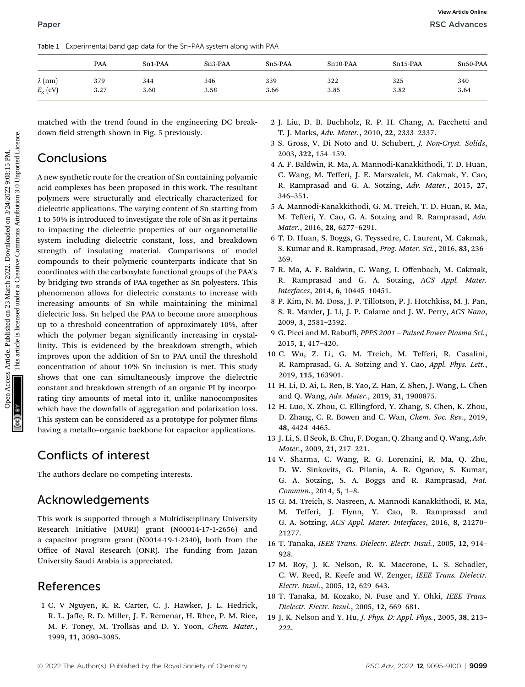| Table 1          | Experimental band gap data for the Sn-PAA system along with PAA |                      |           |           |            |            |          |
|------------------|-----------------------------------------------------------------|----------------------|-----------|-----------|------------|------------|----------|
|                  | PAA                                                             | Sn <sub>1</sub> -PAA | $Sn3-PAA$ | $Sn5-PAA$ | $Sn10-PAA$ | $Sn15-PAA$ | Sn50-PAA |
| $\lambda$ (nm)   | 379                                                             | 344                  | 346       | 339       | 322        | 325        | 340      |
| $E_{\rm g}$ (eV) | 3.27                                                            | 3.60                 | 3.58      | 3.66      | 3.85       | 3.82       | 3.64     |

matched with the trend found in the engineering DC breakdown field strength shown in Fig. 5 previously.

# **Conclusions**

A new synthetic route for the creation of Sn containing polyamic acid complexes has been proposed in this work. The resultant polymers were structurally and electrically characterized for dielectric applications. The varying content of Sn starting from 1 to 50% is introduced to investigate the role of Sn as it pertains to impacting the dielectric properties of our organometallic system including dielectric constant, loss, and breakdown strength of insulating material. Comparisons of model compounds to their polymeric counterparts indicate that Sn coordinates with the carboxylate functional groups of the PAA's by bridging two strands of PAA together as Sn polyesters. This phenomenon allows for dielectric constants to increase with increasing amounts of Sn while maintaining the minimal dielectric loss. Sn helped the PAA to become more amorphous up to a threshold concentration of approximately  $10\%$ , after which the polymer began significantly increasing in crystallinity. This is evidenced by the breakdown strength, which improves upon the addition of Sn to PAA until the threshold concentration of about 10% Sn inclusion is met. This study shows that one can simultaneously improve the dielectric constant and breakdown strength of an organic PI by incorporating tiny amounts of metal into it, unlike nanocomposites which have the downfalls of aggregation and polarization loss. This system can be considered as a prototype for polymer films having a metallo–organic backbone for capacitor applications. **Paper Tester Licentinets Land on 24 March 2022.** The second on 23 March 2022. Downloaded on 24 March 2022. The second of the second of the second under a Creative Commons Attribution 3.0 March 2022. The second of the c

# Conflicts of interest

The authors declare no competing interests.

# Acknowledgements

This work is supported through a Multidisciplinary University Research Initiative (MURI) grant (N00014-17-1-2656) and a capacitor program grant (N0014-19-1-2340), both from the Office of Naval Research (ONR). The funding from Jazan University Saudi Arabia is appreciated.

# References

1 C. V Nguyen, K. R. Carter, C. J. Hawker, J. L. Hedrick, R. L. Jaffe, R. D. Miller, J. F. Remenar, H. Rhee, P. M. Rice, M. F. Toney, M. Trollsås and D. Y. Yoon, Chem. Mater., 1999, 11, 3080–3085.

- 2 J. Liu, D. B. Buchholz, R. P. H. Chang, A. Facchetti and T. J. Marks, Adv. Mater., 2010, 22, 2333–2337.
- 3 S. Gross, V. Di Noto and U. Schubert, J. Non-Cryst. Solids, 2003, 322, 154–159.
- 4 A. F. Baldwin, R. Ma, A. Mannodi-Kanakkithodi, T. D. Huan, C. Wang, M. Tefferi, J. E. Marszalek, M. Cakmak, Y. Cao, R. Ramprasad and G. A. Sotzing, Adv. Mater., 2015, 27, 346–351.
- 5 A. Mannodi-Kanakkithodi, G. M. Treich, T. D. Huan, R. Ma, M. Tefferi, Y. Cao, G. A. Sotzing and R. Ramprasad, Adv. Mater., 2016, 28, 6277–6291.
- 6 T. D. Huan, S. Boggs, G. Teyssedre, C. Laurent, M. Cakmak, S. Kumar and R. Ramprasad, Prog. Mater. Sci., 2016, 83, 236– 269.
- 7 R. Ma, A. F. Baldwin, C. Wang, I. Offenbach, M. Cakmak, R. Ramprasad and G. A. Sotzing, ACS Appl. Mater. Interfaces, 2014, 6, 10445–10451.
- 8 P. Kim, N. M. Doss, J. P. Tillotson, P. J. Hotchkiss, M. J. Pan, S. R. Marder, J. Li, J. P. Calame and J. W. Perry, ACS Nano, 2009, 3, 2581–2592.
- 9 G. Picci and M. Rabuffi, PPPS 2001 Pulsed Power Plasma Sci., 2015, 1, 417–420.
- 10 C. Wu, Z. Li, G. M. Treich, M. Tefferi, R. Casalini, R. Ramprasad, G. A. Sotzing and Y. Cao, Appl. Phys. Lett., 2019, 115, 163901.
- 11 H. Li, D. Ai, L. Ren, B. Yao, Z. Han, Z. Shen, J. Wang, L. Chen and Q. Wang, Adv. Mater., 2019, 31, 1900875.
- 12 H. Luo, X. Zhou, C. Ellingford, Y. Zhang, S. Chen, K. Zhou, D. Zhang, C. R. Bowen and C. Wan, Chem. Soc. Rev., 2019, 48, 4424–4465.
- 13 J. Li, S. Il Seok, B. Chu, F. Dogan, Q. Zhang and Q. Wang, Adv. Mater., 2009, 21, 217–221.
- 14 V. Sharma, C. Wang, R. G. Lorenzini, R. Ma, Q. Zhu, D. W. Sinkovits, G. Pilania, A. R. Oganov, S. Kumar, G. A. Sotzing, S. A. Boggs and R. Ramprasad, Nat. Commun., 2014, 5, 1–8.
- 15 G. M. Treich, S. Nasreen, A. Mannodi Kanakkithodi, R. Ma, M. Tefferi, J. Flynn, Y. Cao, R. Ramprasad and G. A. Sotzing, ACS Appl. Mater. Interfaces, 2016, 8, 21270– 21277.
- 16 T. Tanaka, IEEE Trans. Dielectr. Electr. Insul., 2005, 12, 914– 928.
- 17 M. Roy, J. K. Nelson, R. K. Maccrone, L. S. Schadler, C. W. Reed, R. Keefe and W. Zenger, IEEE Trans. Dielectr. Electr. Insul., 2005, 12, 629–643.
- 18 T. Tanaka, M. Kozako, N. Fuse and Y. Ohki, IEEE Trans. Dielectr. Electr. Insul., 2005, 12, 669–681.
- 19 J. K. Nelson and Y. Hu, J. Phys. D: Appl. Phys., 2005, 38, 213– 222.